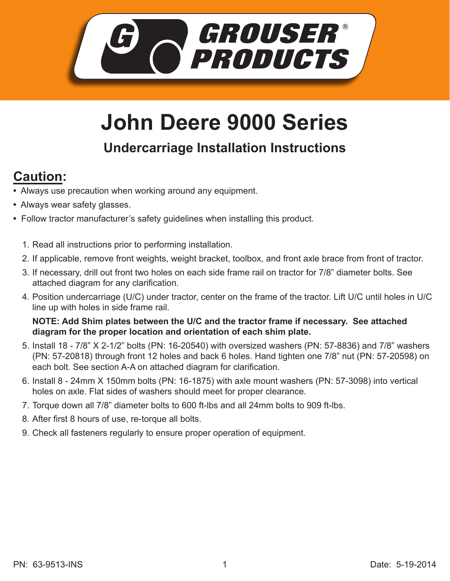

## **John Deere 9000 Series**

## **Undercarriage Installation Instructions**

## **Caution:**

- Always use precaution when working around any equipment.
- Always wear safety glasses.
- Follow tractor manufacturer's safety guidelines when installing this product.
	- 1. Read all instructions prior to performing installation.
	- 2. If applicable, remove front weights, weight bracket, toolbox, and front axle brace from front of tractor.
	- 3. If necessary, drill out front two holes on each side frame rail on tractor for 7/8" diameter bolts. See attached diagram for any clarification.
	- 4. Position undercarriage (U/C) under tractor, center on the frame of the tractor. Lift U/C until holes in U/C line up with holes in side frame rail.

**NOTE: Add Shim plates between the U/C and the tractor frame if necessary. See attached diagram for the proper location and orientation of each shim plate.** 

- 5. Install 18 7/8" X 2-1/2" bolts (PN: 16-20540) with oversized washers (PN: 57-8836) and 7/8" washers (PN: 57-20818) through front 12 holes and back 6 holes. Hand tighten one 7/8" nut (PN: 57-20598) on each bolt. See section A-A on attached diagram for clarification.
- 6. Install 8 24mm X 150mm bolts (PN: 16-1875) with axle mount washers (PN: 57-3098) into vertical holes on axle. Flat sides of washers should meet for proper clearance.
- Torque down all 7/8" diameter bolts to 600 ft-lbs and all 24mm bolts to 909 ft-lbs. 7.
- After first 8 hours of use, re-torque all bolts. 8.
- 9. Check all fasteners regularly to ensure proper operation of equipment.